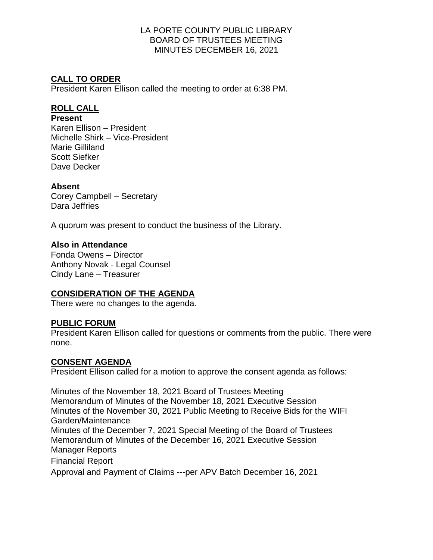# **CALL TO ORDER**

President Karen Ellison called the meeting to order at 6:38 PM.

## **ROLL CALL**

### **Present**

Karen Ellison – President Michelle Shirk – Vice-President Marie Gilliland Scott Siefker Dave Decker

### **Absent**

Corey Campbell – Secretary Dara Jeffries

A quorum was present to conduct the business of the Library.

## **Also in Attendance**

Fonda Owens – Director Anthony Novak - Legal Counsel Cindy Lane – Treasurer

# **CONSIDERATION OF THE AGENDA**

There were no changes to the agenda.

### **PUBLIC FORUM**

President Karen Ellison called for questions or comments from the public. There were none.

### **CONSENT AGENDA**

President Ellison called for a motion to approve the consent agenda as follows:

Minutes of the November 18, 2021 Board of Trustees Meeting Memorandum of Minutes of the November 18, 2021 Executive Session Minutes of the November 30, 2021 Public Meeting to Receive Bids for the WIFI Garden/Maintenance Minutes of the December 7, 2021 Special Meeting of the Board of Trustees Memorandum of Minutes of the December 16, 2021 Executive Session Manager Reports Financial Report Approval and Payment of Claims ---per APV Batch December 16, 2021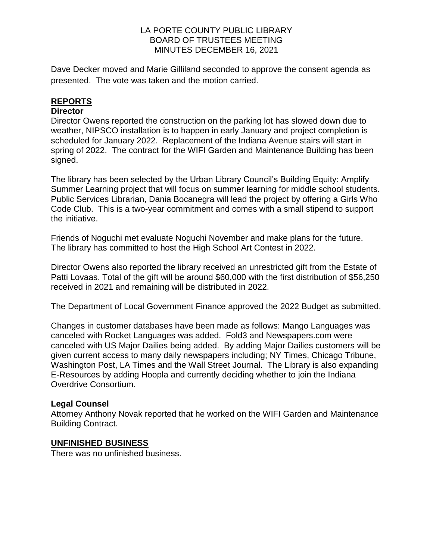Dave Decker moved and Marie Gilliland seconded to approve the consent agenda as presented. The vote was taken and the motion carried.

## **REPORTS**

### **Director**

Director Owens reported the construction on the parking lot has slowed down due to weather, NIPSCO installation is to happen in early January and project completion is scheduled for January 2022. Replacement of the Indiana Avenue stairs will start in spring of 2022. The contract for the WIFI Garden and Maintenance Building has been signed.

The library has been selected by the Urban Library Council's Building Equity: Amplify Summer Learning project that will focus on summer learning for middle school students. Public Services Librarian, Dania Bocanegra will lead the project by offering a Girls Who Code Club. This is a two-year commitment and comes with a small stipend to support the initiative.

Friends of Noguchi met evaluate Noguchi November and make plans for the future. The library has committed to host the High School Art Contest in 2022.

Director Owens also reported the library received an unrestricted gift from the Estate of Patti Lovaas. Total of the gift will be around \$60,000 with the first distribution of \$56,250 received in 2021 and remaining will be distributed in 2022.

The Department of Local Government Finance approved the 2022 Budget as submitted.

Changes in customer databases have been made as follows: Mango Languages was canceled with Rocket Languages was added. Fold3 and Newspapers.com were canceled with US Major Dailies being added. By adding Major Dailies customers will be given current access to many daily newspapers including; NY Times, Chicago Tribune, Washington Post, LA Times and the Wall Street Journal. The Library is also expanding E-Resources by adding Hoopla and currently deciding whether to join the Indiana Overdrive Consortium.

### **Legal Counsel**

Attorney Anthony Novak reported that he worked on the WIFI Garden and Maintenance Building Contract.

### **UNFINISHED BUSINESS**

There was no unfinished business.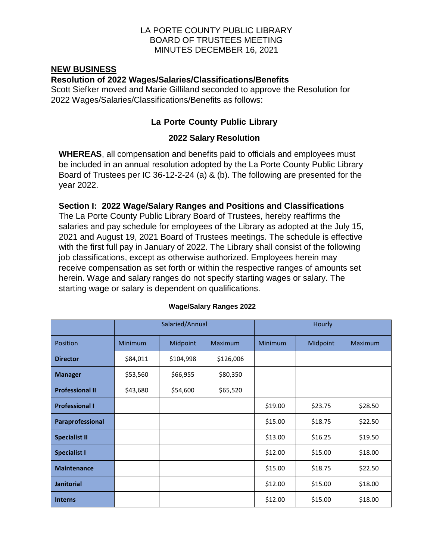#### **NEW BUSINESS**

### **Resolution of 2022 Wages/Salaries/Classifications/Benefits**

Scott Siefker moved and Marie Gilliland seconded to approve the Resolution for 2022 Wages/Salaries/Classifications/Benefits as follows:

## **La Porte County Public Library**

### **2022 Salary Resolution**

**WHEREAS**, all compensation and benefits paid to officials and employees must be included in an annual resolution adopted by the La Porte County Public Library Board of Trustees per IC 36-12-2-24 (a) & (b). The following are presented for the year 2022.

### **Section I: 2022 Wage/Salary Ranges and Positions and Classifications**

The La Porte County Public Library Board of Trustees, hereby reaffirms the salaries and pay schedule for employees of the Library as adopted at the July 15, 2021 and August 19, 2021 Board of Trustees meetings. The schedule is effective with the first full pay in January of 2022. The Library shall consist of the following job classifications, except as otherwise authorized. Employees herein may receive compensation as set forth or within the respective ranges of amounts set herein. Wage and salary ranges do not specify starting wages or salary. The starting wage or salary is dependent on qualifications.

|                        | Salaried/Annual |           | Hourly         |                |          |                |
|------------------------|-----------------|-----------|----------------|----------------|----------|----------------|
| Position               | <b>Minimum</b>  | Midpoint  | <b>Maximum</b> | <b>Minimum</b> | Midpoint | <b>Maximum</b> |
| <b>Director</b>        | \$84,011        | \$104,998 | \$126,006      |                |          |                |
| <b>Manager</b>         | \$53,560        | \$66,955  | \$80,350       |                |          |                |
| <b>Professional II</b> | \$43,680        | \$54,600  | \$65,520       |                |          |                |
| <b>Professional I</b>  |                 |           |                | \$19.00        | \$23.75  | \$28.50        |
| Paraprofessional       |                 |           |                | \$15.00        | \$18.75  | \$22.50        |
| <b>Specialist II</b>   |                 |           |                | \$13.00        | \$16.25  | \$19.50        |
| <b>Specialist I</b>    |                 |           |                | \$12.00        | \$15.00  | \$18.00        |
| <b>Maintenance</b>     |                 |           |                | \$15.00        | \$18.75  | \$22.50        |
| <b>Janitorial</b>      |                 |           |                | \$12.00        | \$15.00  | \$18.00        |
| <b>Interns</b>         |                 |           |                | \$12.00        | \$15.00  | \$18.00        |

#### **Wage/Salary Ranges 2022**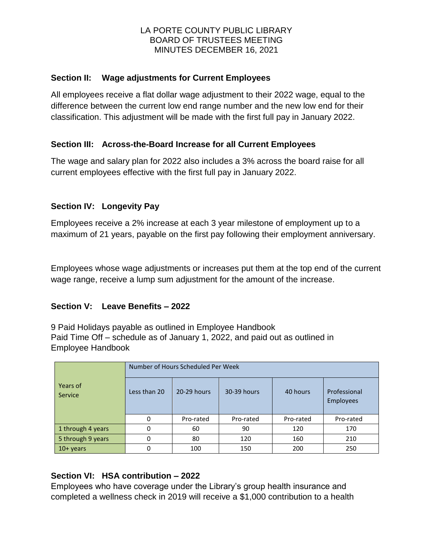## **Section II: Wage adjustments for Current Employees**

All employees receive a flat dollar wage adjustment to their 2022 wage, equal to the difference between the current low end range number and the new low end for their classification. This adjustment will be made with the first full pay in January 2022.

### **Section III: Across-the-Board Increase for all Current Employees**

The wage and salary plan for 2022 also includes a 3% across the board raise for all current employees effective with the first full pay in January 2022.

### **Section IV: Longevity Pay**

Employees receive a 2% increase at each 3 year milestone of employment up to a maximum of 21 years, payable on the first pay following their employment anniversary.

Employees whose wage adjustments or increases put them at the top end of the current wage range, receive a lump sum adjustment for the amount of the increase.

### **Section V: Leave Benefits – 2022**

9 Paid Holidays payable as outlined in Employee Handbook Paid Time Off – schedule as of January 1, 2022, and paid out as outlined in Employee Handbook

|                     | Number of Hours Scheduled Per Week |             |             |           |                                  |
|---------------------|------------------------------------|-------------|-------------|-----------|----------------------------------|
| Years of<br>Service | Less than 20                       | 20-29 hours | 30-39 hours | 40 hours  | Professional<br><b>Employees</b> |
|                     | $\Omega$                           | Pro-rated   | Pro-rated   | Pro-rated | Pro-rated                        |
| 1 through 4 years   | ŋ                                  | 60          | 90          | 120       | 170                              |
| 5 through 9 years   | ŋ                                  | 80          | 120         | 160       | 210                              |
| $10+years$          |                                    | 100         | 150         | 200       | 250                              |

### **Section VI: HSA contribution – 2022**

Employees who have coverage under the Library's group health insurance and completed a wellness check in 2019 will receive a \$1,000 contribution to a health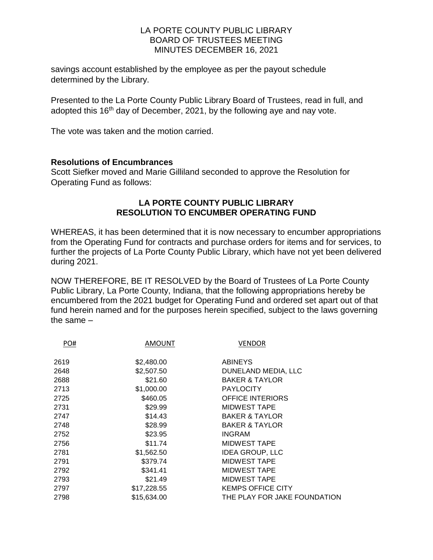savings account established by the employee as per the payout schedule determined by the Library.

Presented to the La Porte County Public Library Board of Trustees, read in full, and adopted this 16<sup>th</sup> day of December, 2021, by the following aye and nay vote.

The vote was taken and the motion carried.

#### **Resolutions of Encumbrances**

Scott Siefker moved and Marie Gilliland seconded to approve the Resolution for Operating Fund as follows:

### **LA PORTE COUNTY PUBLIC LIBRARY RESOLUTION TO ENCUMBER OPERATING FUND**

WHEREAS, it has been determined that it is now necessary to encumber appropriations from the Operating Fund for contracts and purchase orders for items and for services, to further the projects of La Porte County Public Library, which have not yet been delivered during 2021.

NOW THEREFORE, BE IT RESOLVED by the Board of Trustees of La Porte County Public Library, La Porte County, Indiana, that the following appropriations hereby be encumbered from the 2021 budget for Operating Fund and ordered set apart out of that fund herein named and for the purposes herein specified, subject to the laws governing the same –

| PO#  | AMOUNT      | <b>VENDOR</b>                |
|------|-------------|------------------------------|
| 2619 | \$2,480.00  | <b>ABINEYS</b>               |
| 2648 | \$2,507.50  | DUNELAND MEDIA, LLC          |
| 2688 | \$21.60     | <b>BAKER &amp; TAYLOR</b>    |
| 2713 | \$1,000.00  | <b>PAYLOCITY</b>             |
| 2725 | \$460.05    | <b>OFFICE INTERIORS</b>      |
| 2731 | \$29.99     | MIDWEST TAPE                 |
| 2747 | \$14.43     | <b>BAKER &amp; TAYLOR</b>    |
| 2748 | \$28.99     | <b>BAKER &amp; TAYLOR</b>    |
| 2752 | \$23.95     | <b>INGRAM</b>                |
| 2756 | \$11.74     | <b>MIDWEST TAPE</b>          |
| 2781 | \$1,562.50  | <b>IDEA GROUP, LLC</b>       |
| 2791 | \$379.74    | MIDWEST TAPE                 |
| 2792 | \$341.41    | <b>MIDWEST TAPE</b>          |
| 2793 | \$21.49     | <b>MIDWEST TAPE</b>          |
| 2797 | \$17,228.55 | <b>KEMPS OFFICE CITY</b>     |
| 2798 | \$15,634.00 | THE PLAY FOR JAKE FOUNDATION |
|      |             |                              |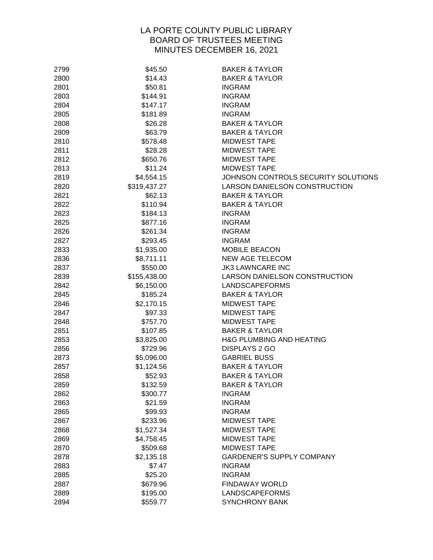| 2799 | \$45.50      | <b>BAKER &amp; TAYLOR</b>           |
|------|--------------|-------------------------------------|
| 2800 | \$14.43      | <b>BAKER &amp; TAYLOR</b>           |
| 2801 | \$50.81      | <b>INGRAM</b>                       |
| 2803 | \$144.91     | <b>INGRAM</b>                       |
| 2804 | \$147.17     | <b>INGRAM</b>                       |
| 2805 | \$181.89     | <b>INGRAM</b>                       |
| 2808 | \$26.28      | <b>BAKER &amp; TAYLOR</b>           |
| 2809 | \$63.79      | <b>BAKER &amp; TAYLOR</b>           |
| 2810 | \$578.48     | <b>MIDWEST TAPE</b>                 |
| 2811 | \$28.28      | <b>MIDWEST TAPE</b>                 |
| 2812 | \$650.76     | <b>MIDWEST TAPE</b>                 |
| 2813 | \$11.24      | <b>MIDWEST TAPE</b>                 |
| 2819 | \$4,554.15   | JOHNSON CONTROLS SECURITY SOLUTIONS |
| 2820 | \$319,437.27 | LARSON DANIELSON CONSTRUCTION       |
| 2821 | \$62.13      | <b>BAKER &amp; TAYLOR</b>           |
| 2822 | \$110.94     | <b>BAKER &amp; TAYLOR</b>           |
| 2823 | \$184.13     | <b>INGRAM</b>                       |
| 2825 | \$877.16     | <b>INGRAM</b>                       |
| 2826 | \$261.34     | <b>INGRAM</b>                       |
| 2827 | \$293.45     | <b>INGRAM</b>                       |
| 2833 | \$1,935.00   | <b>MOBILE BEACON</b>                |
| 2836 | \$8,711.11   | <b>NEW AGE TELECOM</b>              |
| 2837 | \$550.00     | <b>JK3 LAWNCARE INC</b>             |
| 2839 | \$155,438.00 | LARSON DANIELSON CONSTRUCTION       |
| 2842 | \$6,150.00   | LANDSCAPEFORMS                      |
| 2845 | \$185.24     | <b>BAKER &amp; TAYLOR</b>           |
| 2846 | \$2,170.15   | <b>MIDWEST TAPE</b>                 |
| 2847 | \$97.33      | <b>MIDWEST TAPE</b>                 |
| 2848 | \$757.70     | <b>MIDWEST TAPE</b>                 |
| 2851 | \$107.85     | <b>BAKER &amp; TAYLOR</b>           |
| 2853 | \$3,825.00   | <b>H&amp;G PLUMBING AND HEATING</b> |
| 2856 | \$729.96     | <b>DISPLAYS 2 GO</b>                |
| 2873 | \$5,096.00   | <b>GABRIEL BUSS</b>                 |
| 2857 | \$1,124.56   | <b>BAKER &amp; TAYLOR</b>           |
| 2858 | \$52.93      | <b>BAKER &amp; TAYLOR</b>           |
| 2859 | \$132.59     | <b>BAKER &amp; TAYLOR</b>           |
| 2862 | \$300.77     | <b>INGRAM</b>                       |
| 2863 | \$21.59      | <b>INGRAM</b>                       |
| 2865 | \$99.93      | <b>INGRAM</b>                       |
| 2867 | \$233.96     | <b>MIDWEST TAPE</b>                 |
| 2868 | \$1,527.34   | <b>MIDWEST TAPE</b>                 |
| 2869 | \$4,758.45   | <b>MIDWEST TAPE</b>                 |
| 2870 | \$509.68     | <b>MIDWEST TAPE</b>                 |
| 2878 | \$2,135.18   | <b>GARDENER'S SUPPLY COMPANY</b>    |
| 2883 | \$7.47       | <b>INGRAM</b>                       |
| 2885 | \$25.20      | <b>INGRAM</b>                       |
| 2887 | \$679.96     | <b>FINDAWAY WORLD</b>               |
| 2889 | \$195.00     | LANDSCAPEFORMS                      |
| 2894 | \$559.77     | <b>SYNCHRONY BANK</b>               |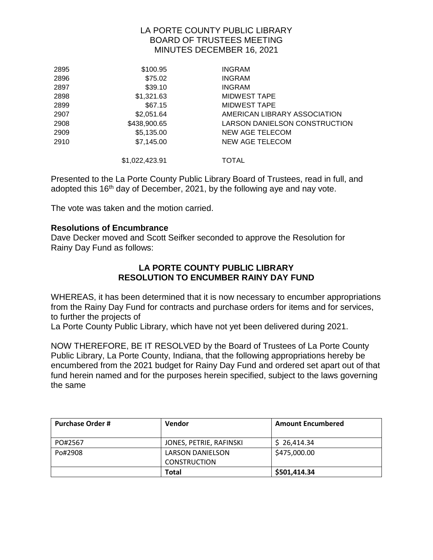| 2895 | \$100.95       | <b>INGRAM</b>                 |
|------|----------------|-------------------------------|
| 2896 | \$75.02        | <b>INGRAM</b>                 |
| 2897 | \$39.10        | <b>INGRAM</b>                 |
| 2898 | \$1,321.63     | <b>MIDWEST TAPE</b>           |
| 2899 | \$67.15        | MIDWEST TAPE                  |
| 2907 | \$2,051.64     | AMERICAN LIBRARY ASSOCIATION  |
| 2908 | \$438,900.65   | LARSON DANIELSON CONSTRUCTION |
| 2909 | \$5,135.00     | NEW AGE TELECOM               |
| 2910 | \$7,145.00     | <b>NEW AGE TELECOM</b>        |
|      | \$1,022,423.91 | <b>TOTAL</b>                  |

Presented to the La Porte County Public Library Board of Trustees, read in full, and adopted this 16<sup>th</sup> day of December, 2021, by the following aye and nay vote.

The vote was taken and the motion carried.

### **Resolutions of Encumbrance**

Dave Decker moved and Scott Seifker seconded to approve the Resolution for Rainy Day Fund as follows:

#### **LA PORTE COUNTY PUBLIC LIBRARY RESOLUTION TO ENCUMBER RAINY DAY FUND**

WHEREAS, it has been determined that it is now necessary to encumber appropriations from the Rainy Day Fund for contracts and purchase orders for items and for services, to further the projects of

La Porte County Public Library, which have not yet been delivered during 2021.

NOW THEREFORE, BE IT RESOLVED by the Board of Trustees of La Porte County Public Library, La Porte County, Indiana, that the following appropriations hereby be encumbered from the 2021 budget for Rainy Day Fund and ordered set apart out of that fund herein named and for the purposes herein specified, subject to the laws governing the same

| <b>Purchase Order #</b> | <b>Vendor</b>           | <b>Amount Encumbered</b> |
|-------------------------|-------------------------|--------------------------|
| PO#2567                 | JONES, PETRIE, RAFINSKI | \$26,414.34              |
| Po#2908                 | LARSON DANIELSON        | \$475,000.00             |
|                         | <b>CONSTRUCTION</b>     |                          |
|                         | Total                   | \$501,414.34             |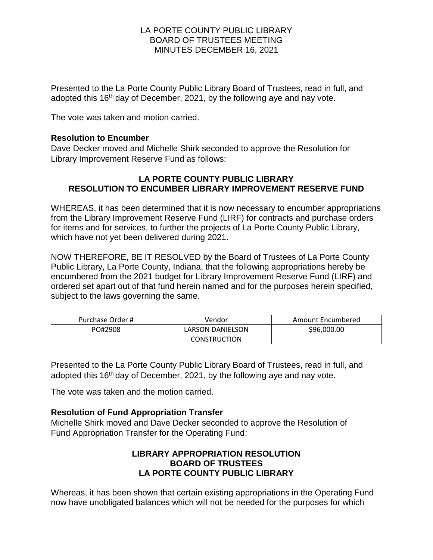Presented to the La Porte County Public Library Board of Trustees, read in full, and adopted this 16<sup>th</sup> day of December, 2021, by the following aye and nay vote.

The vote was taken and motion carried.

### **Resolution to Encumber**

Dave Decker moved and Michelle Shirk seconded to approve the Resolution for Library Improvement Reserve Fund as follows:

### **LA PORTE COUNTY PUBLIC LIBRARY RESOLUTION TO ENCUMBER LIBRARY IMPROVEMENT RESERVE FUND**

WHEREAS, it has been determined that it is now necessary to encumber appropriations from the Library Improvement Reserve Fund (LIRF) for contracts and purchase orders for items and for services, to further the projects of La Porte County Public Library, which have not yet been delivered during 2021.

NOW THEREFORE, BE IT RESOLVED by the Board of Trustees of La Porte County Public Library, La Porte County, Indiana, that the following appropriations hereby be encumbered from the 2021 budget for Library Improvement Reserve Fund (LIRF) and ordered set apart out of that fund herein named and for the purposes herein specified, subject to the laws governing the same.

| Purchase Order # | Vendor                  | Amount Encumbered |
|------------------|-------------------------|-------------------|
| PO#2908          | <b>LARSON DANIELSON</b> | \$96,000.00       |
|                  | <b>CONSTRUCTION</b>     |                   |

Presented to the La Porte County Public Library Board of Trustees, read in full, and adopted this 16<sup>th</sup> day of December, 2021, by the following aye and nay vote.

The vote was taken and the motion carried.

### **Resolution of Fund Appropriation Transfer**

Michelle Shirk moved and Dave Decker seconded to approve the Resolution of Fund Appropriation Transfer for the Operating Fund:

## **LIBRARY APPROPRIATION RESOLUTION BOARD OF TRUSTEES LA PORTE COUNTY PUBLIC LIBRARY**

Whereas, it has been shown that certain existing appropriations in the Operating Fund now have unobligated balances which will not be needed for the purposes for which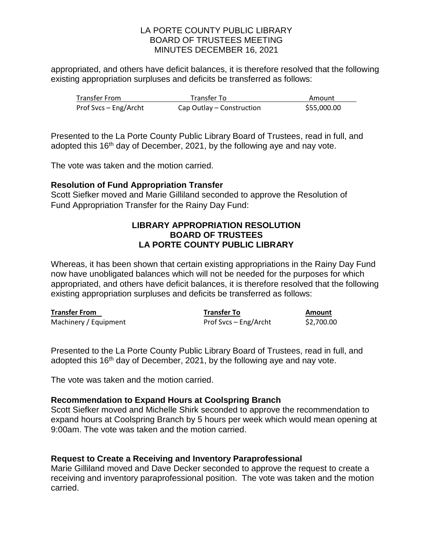appropriated, and others have deficit balances, it is therefore resolved that the following existing appropriation surpluses and deficits be transferred as follows:

| <b>Transfer From</b>  | Transfer To               | Amount      |
|-----------------------|---------------------------|-------------|
| Prof Svcs – Eng/Archt | Cap Outlay – Construction | \$55,000.00 |

Presented to the La Porte County Public Library Board of Trustees, read in full, and adopted this 16<sup>th</sup> day of December, 2021, by the following aye and nay vote.

The vote was taken and the motion carried.

### **Resolution of Fund Appropriation Transfer**

Scott Siefker moved and Marie Gilliland seconded to approve the Resolution of Fund Appropriation Transfer for the Rainy Day Fund:

### **LIBRARY APPROPRIATION RESOLUTION BOARD OF TRUSTEES LA PORTE COUNTY PUBLIC LIBRARY**

Whereas, it has been shown that certain existing appropriations in the Rainy Day Fund now have unobligated balances which will not be needed for the purposes for which appropriated, and others have deficit balances, it is therefore resolved that the following existing appropriation surpluses and deficits be transferred as follows:

| <b>Transfer From</b>  | <b>Transfer To</b>    | Amount     |
|-----------------------|-----------------------|------------|
| Machinery / Equipment | Prof Svcs – Eng/Archt | \$2,700.00 |

Presented to the La Porte County Public Library Board of Trustees, read in full, and adopted this 16<sup>th</sup> day of December, 2021, by the following aye and nay vote.

The vote was taken and the motion carried.

#### **Recommendation to Expand Hours at Coolspring Branch**

Scott Siefker moved and Michelle Shirk seconded to approve the recommendation to expand hours at Coolspring Branch by 5 hours per week which would mean opening at 9:00am. The vote was taken and the motion carried.

#### **Request to Create a Receiving and Inventory Paraprofessional**

Marie Gilliland moved and Dave Decker seconded to approve the request to create a receiving and inventory paraprofessional position. The vote was taken and the motion carried.